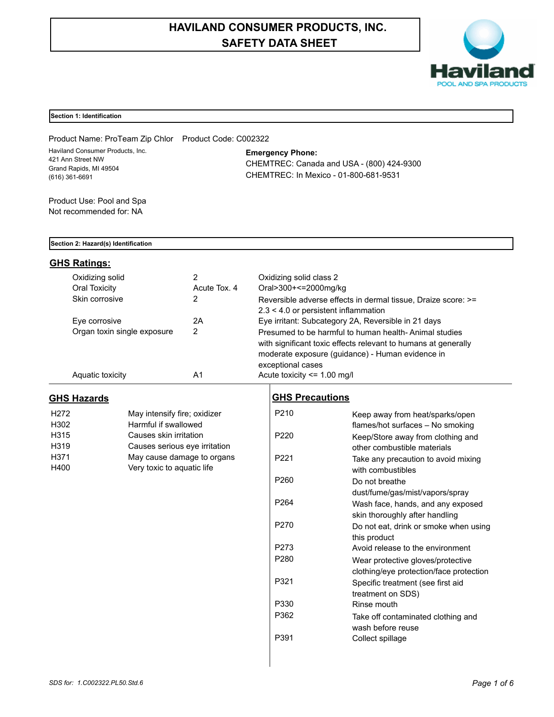# **HAVILAND CONSUMER PRODUCTS, INC. SAFETY DATA SHEET**



# **Section 1: Identification**

Product Name: ProTeam Zip Chlor Product Code: C002322 Haviland Consumer Products, Inc. 421 Ann Street NW Grand Rapids, MI 49504 (616) 361-6691

**Emergency Phone:**

CHEMTREC: Canada and USA - (800) 424-9300 CHEMTREC: In Mexico - 01-800-681-9531

Product Use: Pool and Spa Not recommended for: NA

# **Section 2: Hazard(s) Identification**

# **GHS Ratings:**

| Oxidizing solid<br>Oral Toxicity | Acute Tox, 4 | Oxidizing solid class 2<br>Oral>300+<=2000mg/kg                                                                                                                                                  |
|----------------------------------|--------------|--------------------------------------------------------------------------------------------------------------------------------------------------------------------------------------------------|
| Skin corrosive                   | 2            | Reversible adverse effects in dermal tissue, Draize score: >=<br>$2.3 < 4.0$ or persistent inflammation                                                                                          |
| Eve corrosive                    | 2A           | Eye irritant: Subcategory 2A, Reversible in 21 days                                                                                                                                              |
| Organ toxin single exposure      | 2            | Presumed to be harmful to human health-Animal studies<br>with significant toxic effects relevant to humans at generally<br>moderate exposure (guidance) - Human evidence in<br>exceptional cases |
| Aquatic toxicity                 | A1           | Acute toxicity $\leq$ 1.00 mg/l                                                                                                                                                                  |

# **GHS Hazards**

| H <sub>272</sub> | May intensify fire; oxidizer  |
|------------------|-------------------------------|
| H302             | Harmful if swallowed          |
| H315             | Causes skin irritation        |
| H <sub>319</sub> | Causes serious eye irritation |
| H371             | May cause damage to organs    |
| H400             | Very toxic to aquatic life    |

# **GHS Precautions**

| P210             | Keep away from heat/sparks/open<br>flames/hot surfaces - No smoking |
|------------------|---------------------------------------------------------------------|
| P <sub>220</sub> | Keep/Store away from clothing and<br>other combustible materials    |
| P <sub>221</sub> | Take any precaution to avoid mixing<br>with combustibles            |
| P <sub>260</sub> | Do not breathe                                                      |
|                  | dust/fume/gas/mist/vapors/spray                                     |
| P <sub>264</sub> | Wash face, hands, and any exposed                                   |
|                  | skin thoroughly after handling                                      |
| P <sub>270</sub> | Do not eat, drink or smoke when using                               |
|                  | this product                                                        |
| P273             | Avoid release to the environment                                    |
| P280             | Wear protective gloves/protective                                   |
|                  | clothing/eye protection/face protection                             |
| P321             | Specific treatment (see first aid                                   |
|                  | treatment on SDS)                                                   |
| P330             | Rinse mouth                                                         |
| P362             | Take off contaminated clothing and<br>wash before reuse             |
| P391             | Collect spillage                                                    |
|                  |                                                                     |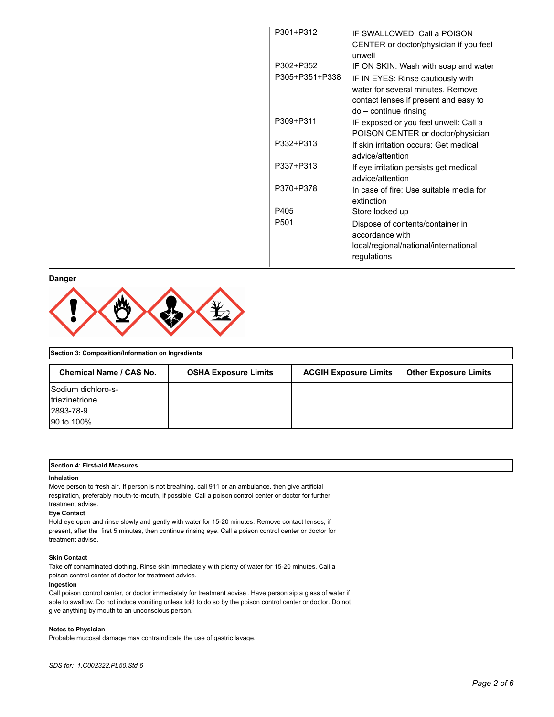| P301+P312        | IF SWALLOWED: Call a POISON<br>CENTER or doctor/physician if you feel<br>unwell                                 |
|------------------|-----------------------------------------------------------------------------------------------------------------|
| P302+P352        | IF ON SKIN: Wash with soap and water                                                                            |
| P305+P351+P338   | IF IN EYES: Rinse cautiously with<br>water for several minutes. Remove<br>contact lenses if present and easy to |
|                  | do – continue rinsing                                                                                           |
| P309+P311        | IF exposed or you feel unwell: Call a<br>POISON CENTER or doctor/physician                                      |
| P332+P313        | If skin irritation occurs: Get medical<br>advice/attention                                                      |
| P337+P313        | If eye irritation persists get medical<br>advice/attention                                                      |
| P370+P378        | In case of fire: Use suitable media for<br>extinction                                                           |
| P405             | Store locked up                                                                                                 |
| P <sub>501</sub> | Dispose of contents/container in<br>accordance with<br>local/regional/national/international<br>regulations     |

# **Danger**



# **Section 3: Composition/Information on Ingredients** Chemical Name / CAS No. | OSHA Exposure Limits | ACGIH Exposure Limits | Other Exposure Limits Sodium dichloro-striazinetrione 2893-78-9 90 to 100%

#### **Section 4: First-aid Measures**

### **Inhalation**

Move person to fresh air. If person is not breathing, call 911 or an ambulance, then give artificial respiration, preferably mouth-to-mouth, if possible. Call a poison control center or doctor for further treatment advise.

#### **Eye Contact**

Hold eye open and rinse slowly and gently with water for 15-20 minutes. Remove contact lenses, if present, after the first 5 minutes, then continue rinsing eye. Call a poison control center or doctor for treatment advise.

# **Skin Contact**

Take off contaminated clothing. Rinse skin immediately with plenty of water for 15-20 minutes. Call a poison control center of doctor for treatment advice.

#### **Ingestion**

Call poison control center, or doctor immediately for treatment advise . Have person sip a glass of water if able to swallow. Do not induce vomiting unless told to do so by the poison control center or doctor. Do not give anything by mouth to an unconscious person.

## **Notes to Physician**

Probable mucosal damage may contraindicate the use of gastric lavage.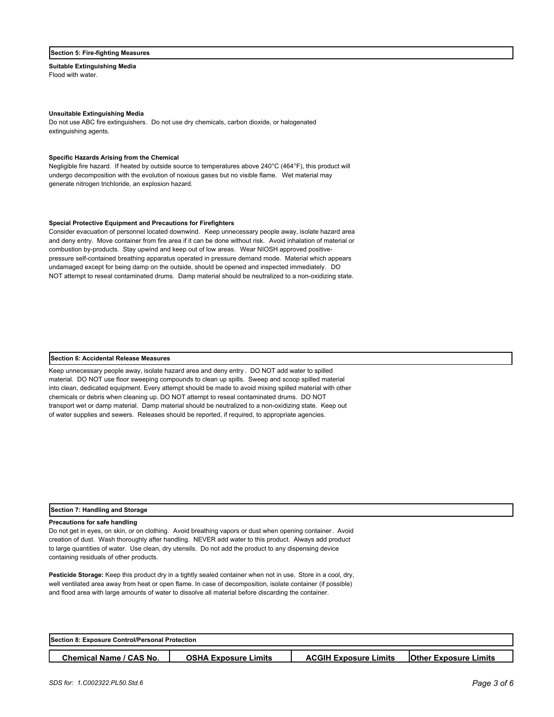## **Section 5: Fire-fighting Measures**

**Suitable Extinguishing Media** Flood with water.

#### **Unsuitable Extinguishing Media**

Do not use ABC fire extinguishers. Do not use dry chemicals, carbon dioxide, or halogenated extinguishing agents.

## **Specific Hazards Arising from the Chemical**

Negligible fire hazard. If heated by outside source to temperatures above 240°C (464°F), this product will undergo decomposition with the evolution of noxious gases but no visible flame. Wet material may generate nitrogen trichloride, an explosion hazard.

## **Special Protective Equipment and Precautions for Firefighters**

Consider evacuation of personnel located downwind. Keep unnecessary people away, isolate hazard area and deny entry. Move container from fire area if it can be done without risk. Avoid inhalation of material or combustion by-products. Stay upwind and keep out of low areas. Wear NIOSH approved positivepressure self-contained breathing apparatus operated in pressure demand mode. Material which appears undamaged except for being damp on the outside, should be opened and inspected immediately. DO NOT attempt to reseal contaminated drums. Damp material should be neutralized to a non-oxidizing state.

### **Section 6: Accidental Release Measures**

Keep unnecessary people away, isolate hazard area and deny entry . DO NOT add water to spilled material. DO NOT use floor sweeping compounds to clean up spills. Sweep and scoop spilled material into clean, dedicated equipment. Every attempt should be made to avoid mixing spilled material with other chemicals or debris when cleaning up. DO NOT attempt to reseal contaminated drums. DO NOT transport wet or damp material. Damp material should be neutralized to a non-oxidizing state. Keep out of water supplies and sewers. Releases should be reported, if required, to appropriate agencies.

### **Section 7: Handling and Storage**

## **Precautions for safe handling**

Do not get in eyes, on skin, or on clothing. Avoid breathing vapors or dust when opening container. Avoid creation of dust. Wash thoroughly after handling. NEVER add water to this product. Always add product to large quantities of water. Use clean, dry utensils. Do not add the product to any dispensing device containing residuals of other products.

**Pesticide Storage:** Keep this product dry in a tightly sealed container when not in use. Store in a cool, dry, well ventilated area away from heat or open flame. In case of decomposition, isolate container (if possible) and flood area with large amounts of water to dissolve all material before discarding the container.

| <b>Section 8: Exposure Control/Personal Protection</b> |                             |                              |                              |
|--------------------------------------------------------|-----------------------------|------------------------------|------------------------------|
|                                                        |                             |                              |                              |
| <b>Chemical Name / CAS No.</b>                         | <b>OSHA Exposure Limits</b> | <b>ACGIH Exposure Limits</b> | <b>Other Exposure Limits</b> |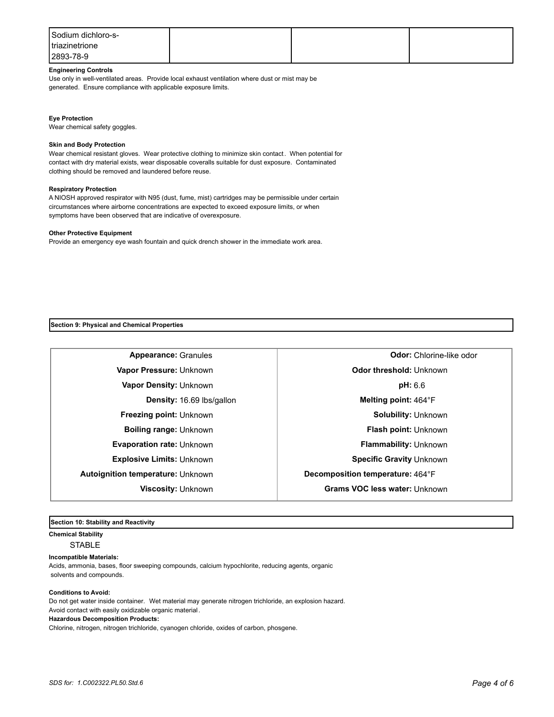| Sodium dichloro-s- |  |  |
|--------------------|--|--|
| triazinetrione     |  |  |
| 2893-78-9          |  |  |

# **Engineering Controls**

Use only in well-ventilated areas. Provide local exhaust ventilation where dust or mist may be generated. Ensure compliance with applicable exposure limits.

#### **Eye Protection**

Wear chemical safety goggles.

### **Skin and Body Protection**

Wear chemical resistant gloves. Wear protective clothing to minimize skin contact. When potential for contact with dry material exists, wear disposable coveralls suitable for dust exposure. Contaminated clothing should be removed and laundered before reuse.

## **Respiratory Protection**

A NIOSH approved respirator with N95 (dust, fume, mist) cartridges may be permissible under certain circumstances where airborne concentrations are expected to exceed exposure limits, or when symptoms have been observed that are indicative of overexposure.

#### **Other Protective Equipment**

Provide an emergency eye wash fountain and quick drench shower in the immediate work area.

**Section 9: Physical and Chemical Properties**

**Appearance:** Granules **Odor:** Chlorine-like odor **Vapor Pressure:** Unknown **Odor threshold:** Unknown **Vapor Density:** Unknown **pH:** 6.6 **Density:** 16.69 lbs/gallon **Melting point:** 464°F **Freezing point:** Unknown **Solubility: Unknown Boiling range:** Unknown **Flash point:** Unknown **Evaporation rate:** Unknown **Flammability: Unknown Explosive Limits:** Unknown **Specific Gravity** Unknown **Autoignition temperature:** Unknown **Decomposition temperature:** 464°F **Viscosity:** Unknown **Grams VOC less water:** Unknown

# **Section 10: Stability and Reactivity**

**Chemical Stability**

**STABLE** 

**Incompatible Materials:** 

Acids, ammonia, bases, floor sweeping compounds, calcium hypochlorite, reducing agents, organic solvents and compounds.

## **Conditions to Avoid:**

Do not get water inside container. Wet material may generate nitrogen trichloride, an explosion hazard. Avoid contact with easily oxidizable organic material.

## **Hazardous Decomposition Products:**

Chlorine, nitrogen, nitrogen trichloride, cyanogen chloride, oxides of carbon, phosgene.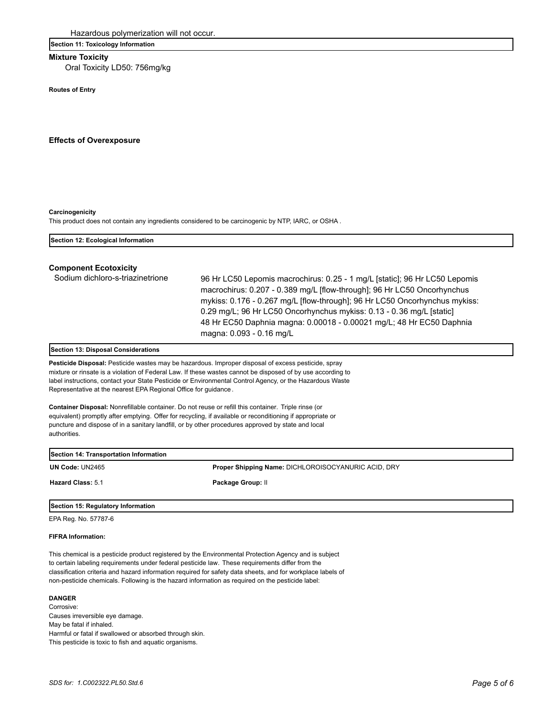# **Section 11: Toxicology Information**

# **Mixture Toxicity**

Oral Toxicity LD50: 756mg/kg

**Routes of Entry**

**Effects of Overexposure**

#### **Carcinogenicity**

This product does not contain any ingredients considered to be carcinogenic by NTP, IARC, or OSHA .

| Section 12: Ecological Information |                                                                                                                                                                                                                                                                                                                                                                                                                 |
|------------------------------------|-----------------------------------------------------------------------------------------------------------------------------------------------------------------------------------------------------------------------------------------------------------------------------------------------------------------------------------------------------------------------------------------------------------------|
| <b>Component Ecotoxicity</b>       |                                                                                                                                                                                                                                                                                                                                                                                                                 |
| Sodium dichloro-s-triazinetrione   | 96 Hr LC50 Lepomis macrochirus: 0.25 - 1 mg/L [static]; 96 Hr LC50 Lepomis<br>macrochirus: 0.207 - 0.389 mg/L [flow-through]; 96 Hr LC50 Oncorhynchus<br>mykiss: 0.176 - 0.267 mg/L [flow-through]; 96 Hr LC50 Oncorhynchus mykiss:<br>0.29 mg/L; 96 Hr LC50 Oncorhynchus mykiss: 0.13 - 0.36 mg/L [static]<br>48 Hr EC50 Daphnia magna: 0.00018 - 0.00021 mg/L; 48 Hr EC50 Daphnia<br>magna: 0.093 - 0.16 mg/L |

## **Section 13: Disposal Considerations**

**Pesticide Disposal:** Pesticide wastes may be hazardous. Improper disposal of excess pesticide, spray mixture or rinsate is a violation of Federal Law. If these wastes cannot be disposed of by use according to label instructions, contact your State Pesticide or Environmental Control Agency, or the Hazardous Waste Representative at the nearest EPA Regional Office for guidance .

**Container Disposal:** Nonrefillable container. Do not reuse or refill this container. Triple rinse (or equivalent) promptly after emptying. Offer for recycling, if available or reconditioning if appropriate or puncture and dispose of in a sanitary landfill, or by other procedures approved by state and local authorities.

| Section 14: Transportation Information |                                                     |
|----------------------------------------|-----------------------------------------------------|
| UN Code: UN2465                        | Proper Shipping Name: DICHLOROISOCYANURIC ACID, DRY |
| <b>Hazard Class: 5.1</b>               | Package Group: II                                   |
| Section 15: Regulatory Information     |                                                     |

EPA Reg. No. 57787-6

## **FIFRA Information:**

This chemical is a pesticide product registered by the Environmental Protection Agency and is subject to certain labeling requirements under federal pesticide law. These requirements differ from the classification criteria and hazard information required for safety data sheets, and for workplace labels of non-pesticide chemicals. Following is the hazard information as required on the pesticide label:

# **DANGER**

Corrosive: Causes irreversible eye damage. May be fatal if inhaled. Harmful or fatal if swallowed or absorbed through skin. This pesticide is toxic to fish and aquatic organisms.